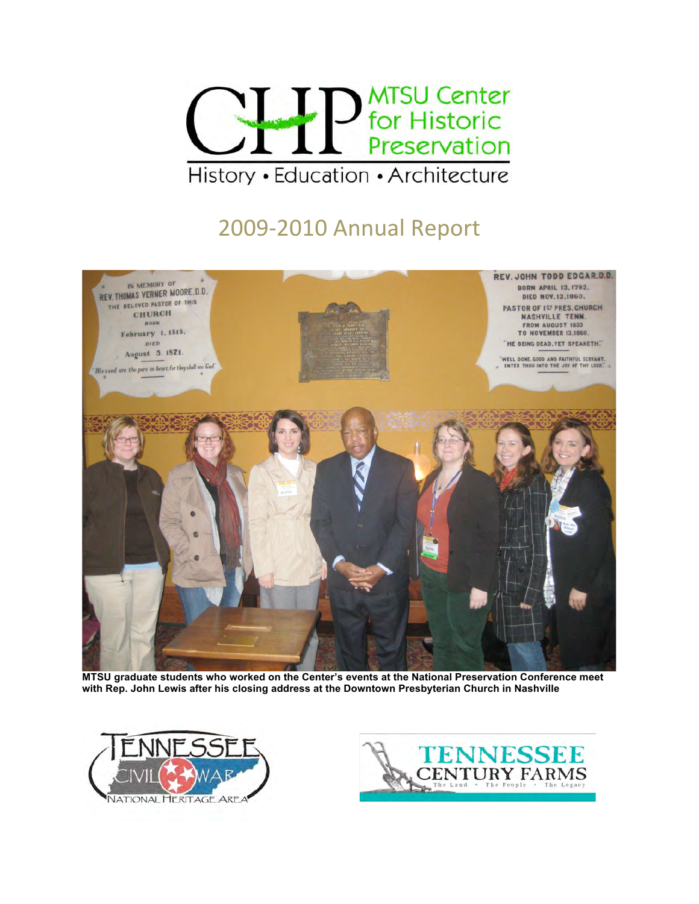

# 2009‐2010
Annual
Report



**MTSU graduate students who worked on the Center's events at the National Preservation Conference meet with Rep. John Lewis after his closing address at the Downtown Presbyterian Church in Nashville**



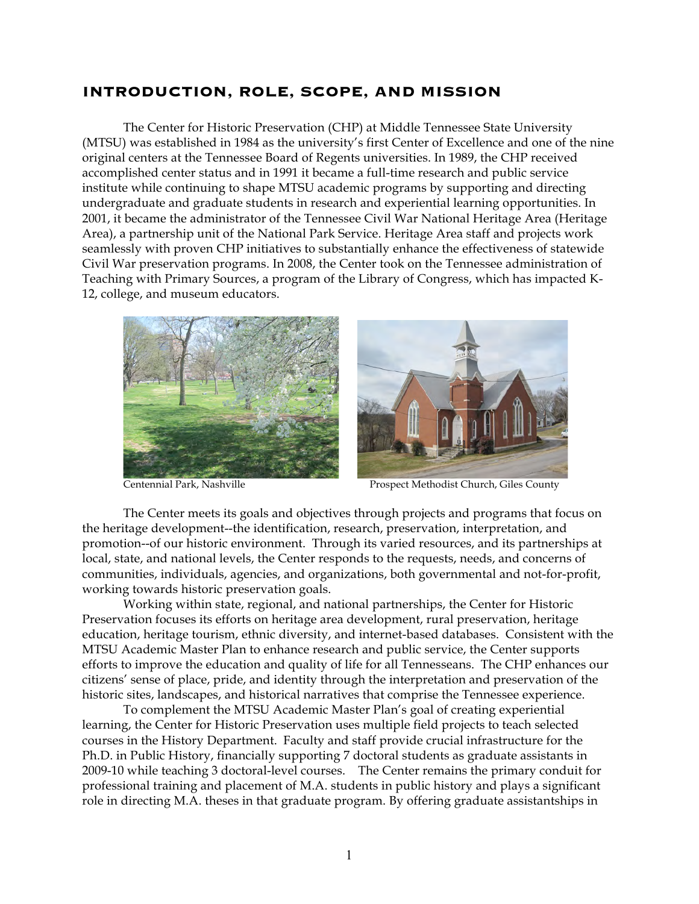# **INTRODUCTION, ROLE, SCOPE, AND MISSION**

The Center for Historic Preservation (CHP) at Middle Tennessee State University (MTSU) was established in 1984 as the university's first Center of Excellence and one of the nine original centers at the Tennessee Board of Regents universities. In 1989, the CHP received accomplished center status and in 1991 it became a full-time research and public service institute while continuing to shape MTSU academic programs by supporting and directing undergraduate and graduate students in research and experiential learning opportunities. In 2001, it became the administrator of the Tennessee Civil War National Heritage Area (Heritage Area), a partnership unit of the National Park Service. Heritage Area staff and projects work seamlessly with proven CHP initiatives to substantially enhance the effectiveness of statewide Civil War preservation programs. In 2008, the Center took on the Tennessee administration of Teaching with Primary Sources, a program of the Library of Congress, which has impacted K-12, college, and museum educators.





Centennial Park, Nashville Prospect Methodist Church, Giles County

The Center meets its goals and objectives through projects and programs that focus on the heritage development--the identification, research, preservation, interpretation, and promotion--of our historic environment. Through its varied resources, and its partnerships at local, state, and national levels, the Center responds to the requests, needs, and concerns of communities, individuals, agencies, and organizations, both governmental and not-for-profit, working towards historic preservation goals.

Working within state, regional, and national partnerships, the Center for Historic Preservation focuses its efforts on heritage area development, rural preservation, heritage education, heritage tourism, ethnic diversity, and internet-based databases. Consistent with the MTSU Academic Master Plan to enhance research and public service, the Center supports efforts to improve the education and quality of life for all Tennesseans. The CHP enhances our citizens' sense of place, pride, and identity through the interpretation and preservation of the historic sites, landscapes, and historical narratives that comprise the Tennessee experience.

To complement the MTSU Academic Master Plan's goal of creating experiential learning, the Center for Historic Preservation uses multiple field projects to teach selected courses in the History Department. Faculty and staff provide crucial infrastructure for the Ph.D. in Public History, financially supporting 7 doctoral students as graduate assistants in 2009-10 while teaching 3 doctoral-level courses. The Center remains the primary conduit for professional training and placement of M.A. students in public history and plays a significant role in directing M.A. theses in that graduate program. By offering graduate assistantships in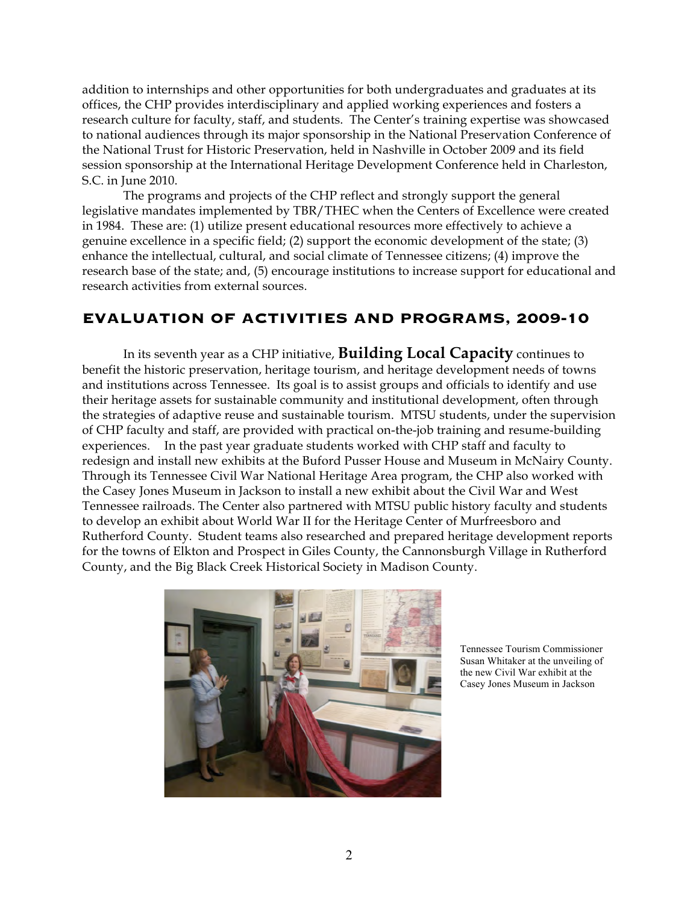addition to internships and other opportunities for both undergraduates and graduates at its offices, the CHP provides interdisciplinary and applied working experiences and fosters a research culture for faculty, staff, and students. The Center's training expertise was showcased to national audiences through its major sponsorship in the National Preservation Conference of the National Trust for Historic Preservation, held in Nashville in October 2009 and its field session sponsorship at the International Heritage Development Conference held in Charleston, S.C. in June 2010.

The programs and projects of the CHP reflect and strongly support the general legislative mandates implemented by TBR/THEC when the Centers of Excellence were created in 1984. These are: (1) utilize present educational resources more effectively to achieve a genuine excellence in a specific field; (2) support the economic development of the state; (3) enhance the intellectual, cultural, and social climate of Tennessee citizens; (4) improve the research base of the state; and, (5) encourage institutions to increase support for educational and research activities from external sources.

# **EVALUATION OF ACTIVITIES AND PROGRAMS, 2009-10**

In its seventh year as a CHP initiative, **Building Local Capacity** continues to benefit the historic preservation, heritage tourism, and heritage development needs of towns and institutions across Tennessee. Its goal is to assist groups and officials to identify and use their heritage assets for sustainable community and institutional development, often through the strategies of adaptive reuse and sustainable tourism. MTSU students, under the supervision of CHP faculty and staff, are provided with practical on-the-job training and resume-building experiences. In the past year graduate students worked with CHP staff and faculty to redesign and install new exhibits at the Buford Pusser House and Museum in McNairy County. Through its Tennessee Civil War National Heritage Area program, the CHP also worked with the Casey Jones Museum in Jackson to install a new exhibit about the Civil War and West Tennessee railroads. The Center also partnered with MTSU public history faculty and students to develop an exhibit about World War II for the Heritage Center of Murfreesboro and Rutherford County. Student teams also researched and prepared heritage development reports for the towns of Elkton and Prospect in Giles County, the Cannonsburgh Village in Rutherford County, and the Big Black Creek Historical Society in Madison County.



Tennessee Tourism Commissioner Susan Whitaker at the unveiling of the new Civil War exhibit at the Casey Jones Museum in Jackson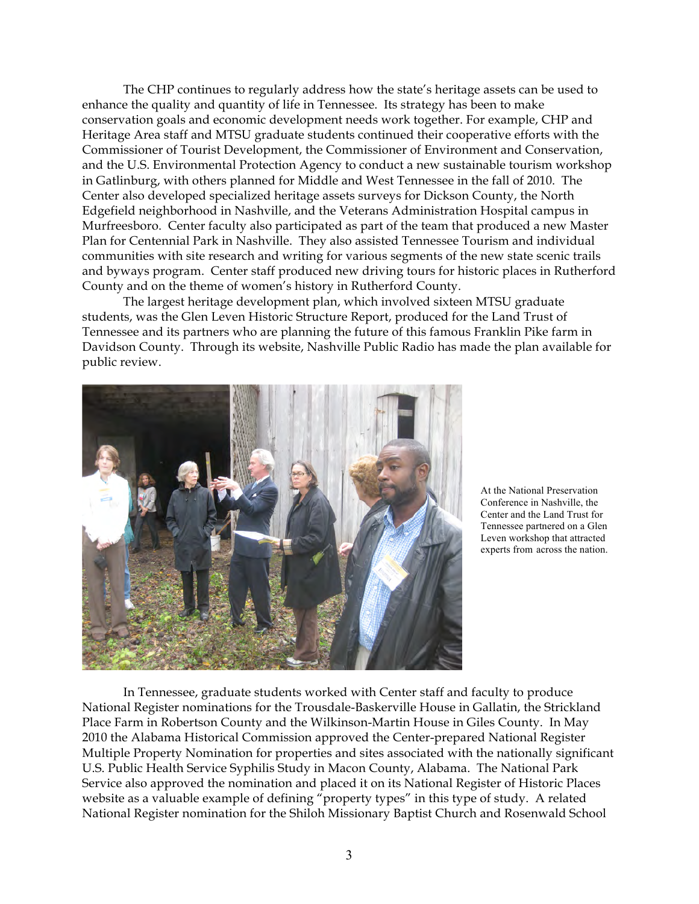The CHP continues to regularly address how the state's heritage assets can be used to enhance the quality and quantity of life in Tennessee. Its strategy has been to make conservation goals and economic development needs work together. For example, CHP and Heritage Area staff and MTSU graduate students continued their cooperative efforts with the Commissioner of Tourist Development, the Commissioner of Environment and Conservation, and the U.S. Environmental Protection Agency to conduct a new sustainable tourism workshop in Gatlinburg, with others planned for Middle and West Tennessee in the fall of 2010. The Center also developed specialized heritage assets surveys for Dickson County, the North Edgefield neighborhood in Nashville, and the Veterans Administration Hospital campus in Murfreesboro. Center faculty also participated as part of the team that produced a new Master Plan for Centennial Park in Nashville. They also assisted Tennessee Tourism and individual communities with site research and writing for various segments of the new state scenic trails and byways program. Center staff produced new driving tours for historic places in Rutherford County and on the theme of women's history in Rutherford County.

The largest heritage development plan, which involved sixteen MTSU graduate students, was the Glen Leven Historic Structure Report, produced for the Land Trust of Tennessee and its partners who are planning the future of this famous Franklin Pike farm in Davidson County. Through its website, Nashville Public Radio has made the plan available for public review.



At the National Preservation Conference in Nashville, the Center and the Land Trust for Tennessee partnered on a Glen Leven workshop that attracted experts from across the nation.

In Tennessee, graduate students worked with Center staff and faculty to produce National Register nominations for the Trousdale-Baskerville House in Gallatin, the Strickland Place Farm in Robertson County and the Wilkinson-Martin House in Giles County. In May 2010 the Alabama Historical Commission approved the Center-prepared National Register Multiple Property Nomination for properties and sites associated with the nationally significant U.S. Public Health Service Syphilis Study in Macon County, Alabama. The National Park Service also approved the nomination and placed it on its National Register of Historic Places website as a valuable example of defining "property types" in this type of study. A related National Register nomination for the Shiloh Missionary Baptist Church and Rosenwald School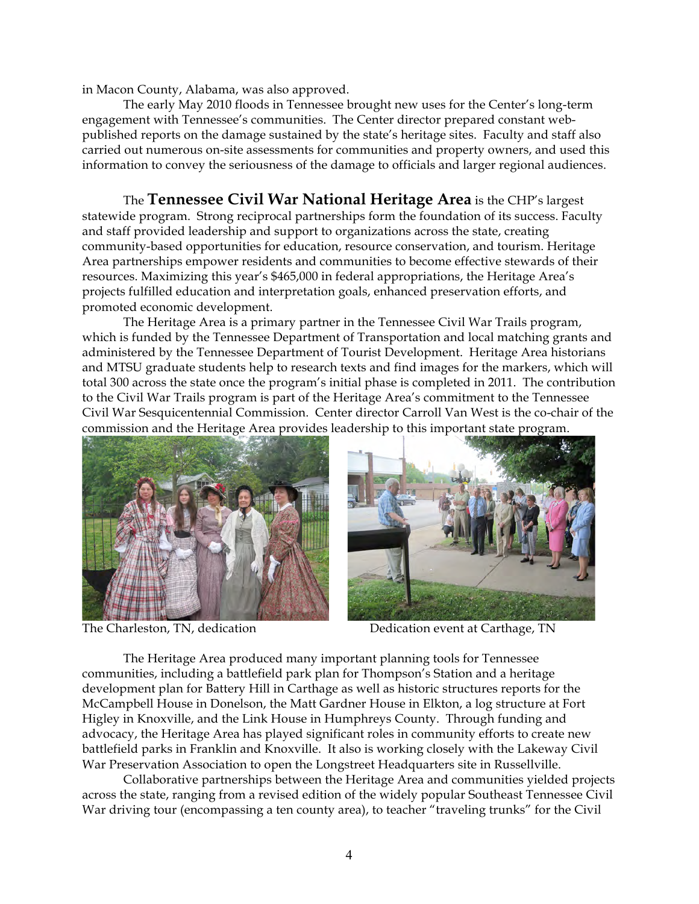in Macon County, Alabama, was also approved.

The early May 2010 floods in Tennessee brought new uses for the Center's long-term engagement with Tennessee's communities. The Center director prepared constant webpublished reports on the damage sustained by the state's heritage sites. Faculty and staff also carried out numerous on-site assessments for communities and property owners, and used this information to convey the seriousness of the damage to officials and larger regional audiences.

The **Tennessee Civil War National Heritage Area** is the CHP's largest statewide program. Strong reciprocal partnerships form the foundation of its success. Faculty and staff provided leadership and support to organizations across the state, creating community-based opportunities for education, resource conservation, and tourism. Heritage Area partnerships empower residents and communities to become effective stewards of their resources. Maximizing this year's \$465,000 in federal appropriations, the Heritage Area's projects fulfilled education and interpretation goals, enhanced preservation efforts, and promoted economic development.

The Heritage Area is a primary partner in the Tennessee Civil War Trails program, which is funded by the Tennessee Department of Transportation and local matching grants and administered by the Tennessee Department of Tourist Development. Heritage Area historians and MTSU graduate students help to research texts and find images for the markers, which will total 300 across the state once the program's initial phase is completed in 2011. The contribution to the Civil War Trails program is part of the Heritage Area's commitment to the Tennessee Civil War Sesquicentennial Commission. Center director Carroll Van West is the co-chair of the commission and the Heritage Area provides leadership to this important state program.





The Charleston, TN, dedication Dedication event at Carthage, TN

The Heritage Area produced many important planning tools for Tennessee communities, including a battlefield park plan for Thompson's Station and a heritage development plan for Battery Hill in Carthage as well as historic structures reports for the McCampbell House in Donelson, the Matt Gardner House in Elkton, a log structure at Fort Higley in Knoxville, and the Link House in Humphreys County. Through funding and advocacy, the Heritage Area has played significant roles in community efforts to create new battlefield parks in Franklin and Knoxville. It also is working closely with the Lakeway Civil War Preservation Association to open the Longstreet Headquarters site in Russellville.

Collaborative partnerships between the Heritage Area and communities yielded projects across the state, ranging from a revised edition of the widely popular Southeast Tennessee Civil War driving tour (encompassing a ten county area), to teacher "traveling trunks" for the Civil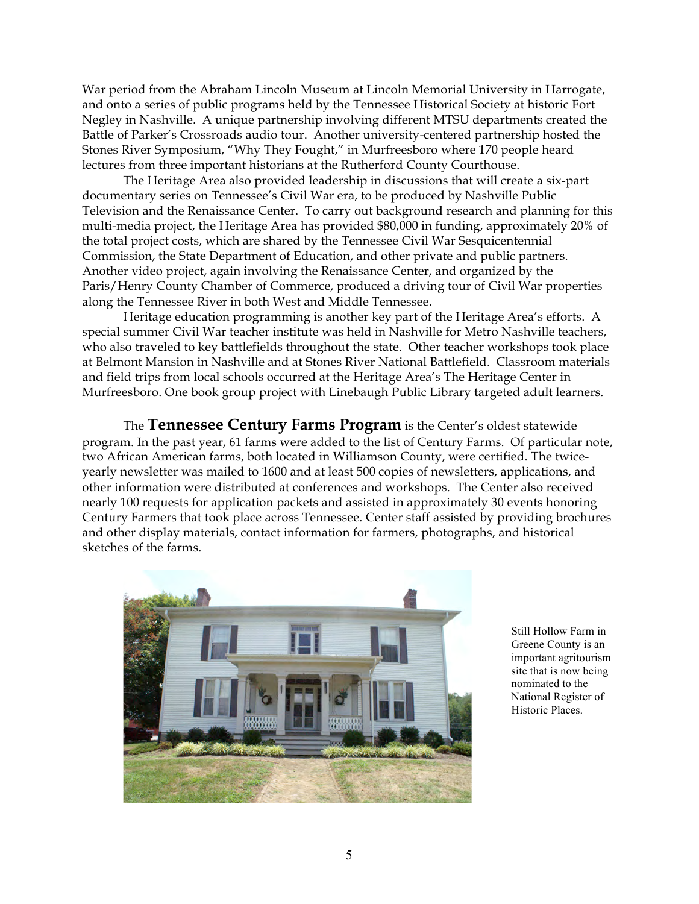War period from the Abraham Lincoln Museum at Lincoln Memorial University in Harrogate, and onto a series of public programs held by the Tennessee Historical Society at historic Fort Negley in Nashville. A unique partnership involving different MTSU departments created the Battle of Parker's Crossroads audio tour. Another university-centered partnership hosted the Stones River Symposium, "Why They Fought," in Murfreesboro where 170 people heard lectures from three important historians at the Rutherford County Courthouse.

The Heritage Area also provided leadership in discussions that will create a six-part documentary series on Tennessee's Civil War era, to be produced by Nashville Public Television and the Renaissance Center. To carry out background research and planning for this multi-media project, the Heritage Area has provided \$80,000 in funding, approximately 20% of the total project costs, which are shared by the Tennessee Civil War Sesquicentennial Commission, the State Department of Education, and other private and public partners. Another video project, again involving the Renaissance Center, and organized by the Paris/Henry County Chamber of Commerce, produced a driving tour of Civil War properties along the Tennessee River in both West and Middle Tennessee.

Heritage education programming is another key part of the Heritage Area's efforts. A special summer Civil War teacher institute was held in Nashville for Metro Nashville teachers, who also traveled to key battlefields throughout the state. Other teacher workshops took place at Belmont Mansion in Nashville and at Stones River National Battlefield. Classroom materials and field trips from local schools occurred at the Heritage Area's The Heritage Center in Murfreesboro. One book group project with Linebaugh Public Library targeted adult learners.

The **Tennessee Century Farms Program** is the Center's oldest statewide program. In the past year, 61 farms were added to the list of Century Farms. Of particular note, two African American farms, both located in Williamson County, were certified. The twiceyearly newsletter was mailed to 1600 and at least 500 copies of newsletters, applications, and other information were distributed at conferences and workshops. The Center also received nearly 100 requests for application packets and assisted in approximately 30 events honoring Century Farmers that took place across Tennessee. Center staff assisted by providing brochures and other display materials, contact information for farmers, photographs, and historical sketches of the farms.



Still Hollow Farm in Greene County is an important agritourism site that is now being nominated to the National Register of Historic Places.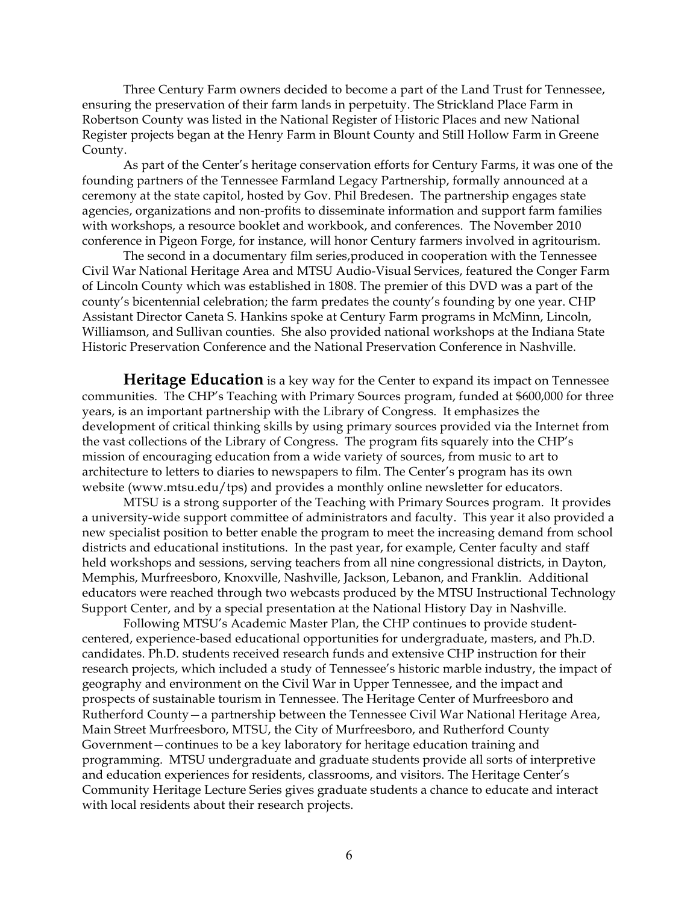Three Century Farm owners decided to become a part of the Land Trust for Tennessee, ensuring the preservation of their farm lands in perpetuity. The Strickland Place Farm in Robertson County was listed in the National Register of Historic Places and new National Register projects began at the Henry Farm in Blount County and Still Hollow Farm in Greene County.

As part of the Center's heritage conservation efforts for Century Farms, it was one of the founding partners of the Tennessee Farmland Legacy Partnership, formally announced at a ceremony at the state capitol, hosted by Gov. Phil Bredesen. The partnership engages state agencies, organizations and non-profits to disseminate information and support farm families with workshops, a resource booklet and workbook, and conferences. The November 2010 conference in Pigeon Forge, for instance, will honor Century farmers involved in agritourism.

The second in a documentary film series,produced in cooperation with the Tennessee Civil War National Heritage Area and MTSU Audio-Visual Services, featured the Conger Farm of Lincoln County which was established in 1808. The premier of this DVD was a part of the county's bicentennial celebration; the farm predates the county's founding by one year. CHP Assistant Director Caneta S. Hankins spoke at Century Farm programs in McMinn, Lincoln, Williamson, and Sullivan counties. She also provided national workshops at the Indiana State Historic Preservation Conference and the National Preservation Conference in Nashville.

**Heritage Education** is a key way for the Center to expand its impact on Tennessee communities. The CHP's Teaching with Primary Sources program, funded at \$600,000 for three years, is an important partnership with the Library of Congress. It emphasizes the development of critical thinking skills by using primary sources provided via the Internet from the vast collections of the Library of Congress. The program fits squarely into the CHP's mission of encouraging education from a wide variety of sources, from music to art to architecture to letters to diaries to newspapers to film. The Center's program has its own website (www.mtsu.edu/tps) and provides a monthly online newsletter for educators.

MTSU is a strong supporter of the Teaching with Primary Sources program. It provides a university-wide support committee of administrators and faculty. This year it also provided a new specialist position to better enable the program to meet the increasing demand from school districts and educational institutions. In the past year, for example, Center faculty and staff held workshops and sessions, serving teachers from all nine congressional districts, in Dayton, Memphis, Murfreesboro, Knoxville, Nashville, Jackson, Lebanon, and Franklin. Additional educators were reached through two webcasts produced by the MTSU Instructional Technology Support Center, and by a special presentation at the National History Day in Nashville.

Following MTSU's Academic Master Plan, the CHP continues to provide studentcentered, experience-based educational opportunities for undergraduate, masters, and Ph.D. candidates. Ph.D. students received research funds and extensive CHP instruction for their research projects, which included a study of Tennessee's historic marble industry, the impact of geography and environment on the Civil War in Upper Tennessee, and the impact and prospects of sustainable tourism in Tennessee. The Heritage Center of Murfreesboro and Rutherford County—a partnership between the Tennessee Civil War National Heritage Area, Main Street Murfreesboro, MTSU, the City of Murfreesboro, and Rutherford County Government—continues to be a key laboratory for heritage education training and programming. MTSU undergraduate and graduate students provide all sorts of interpretive and education experiences for residents, classrooms, and visitors. The Heritage Center's Community Heritage Lecture Series gives graduate students a chance to educate and interact with local residents about their research projects.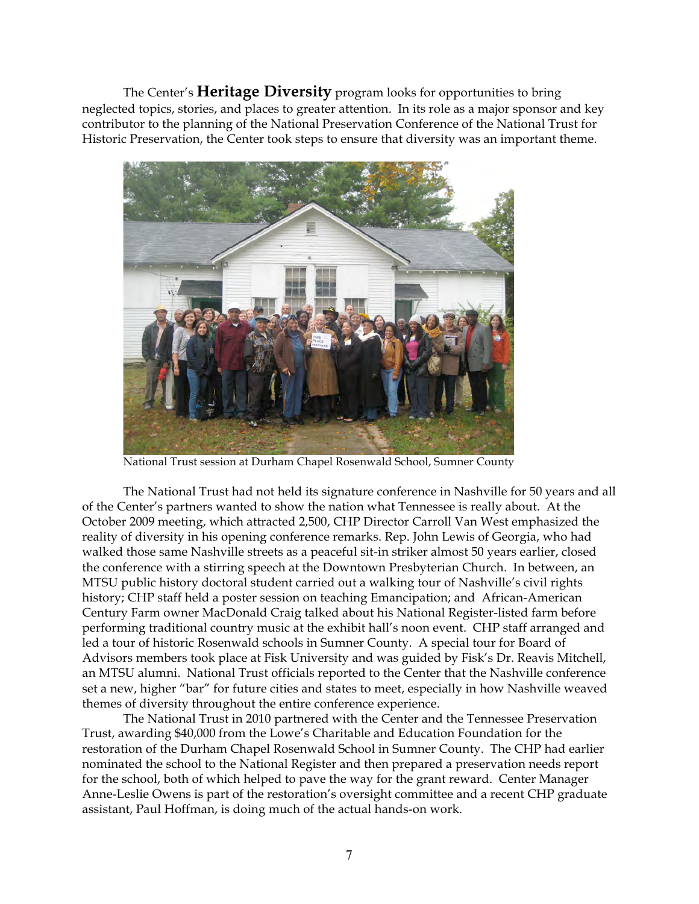The Center's **Heritage Diversity** program looks for opportunities to bring neglected topics, stories, and places to greater attention. In its role as a major sponsor and key contributor to the planning of the National Preservation Conference of the National Trust for Historic Preservation, the Center took steps to ensure that diversity was an important theme.



National Trust session at Durham Chapel Rosenwald School, Sumner County

The National Trust had not held its signature conference in Nashville for 50 years and all of the Center's partners wanted to show the nation what Tennessee is really about. At the October 2009 meeting, which attracted 2,500, CHP Director Carroll Van West emphasized the reality of diversity in his opening conference remarks. Rep. John Lewis of Georgia, who had walked those same Nashville streets as a peaceful sit-in striker almost 50 years earlier, closed the conference with a stirring speech at the Downtown Presbyterian Church. In between, an MTSU public history doctoral student carried out a walking tour of Nashville's civil rights history; CHP staff held a poster session on teaching Emancipation; and African-American Century Farm owner MacDonald Craig talked about his National Register-listed farm before performing traditional country music at the exhibit hall's noon event. CHP staff arranged and led a tour of historic Rosenwald schools in Sumner County. A special tour for Board of Advisors members took place at Fisk University and was guided by Fisk's Dr. Reavis Mitchell, an MTSU alumni. National Trust officials reported to the Center that the Nashville conference set a new, higher "bar" for future cities and states to meet, especially in how Nashville weaved themes of diversity throughout the entire conference experience.

The National Trust in 2010 partnered with the Center and the Tennessee Preservation Trust, awarding \$40,000 from the Lowe's Charitable and Education Foundation for the restoration of the Durham Chapel Rosenwald School in Sumner County. The CHP had earlier nominated the school to the National Register and then prepared a preservation needs report for the school, both of which helped to pave the way for the grant reward. Center Manager Anne-Leslie Owens is part of the restoration's oversight committee and a recent CHP graduate assistant, Paul Hoffman, is doing much of the actual hands-on work.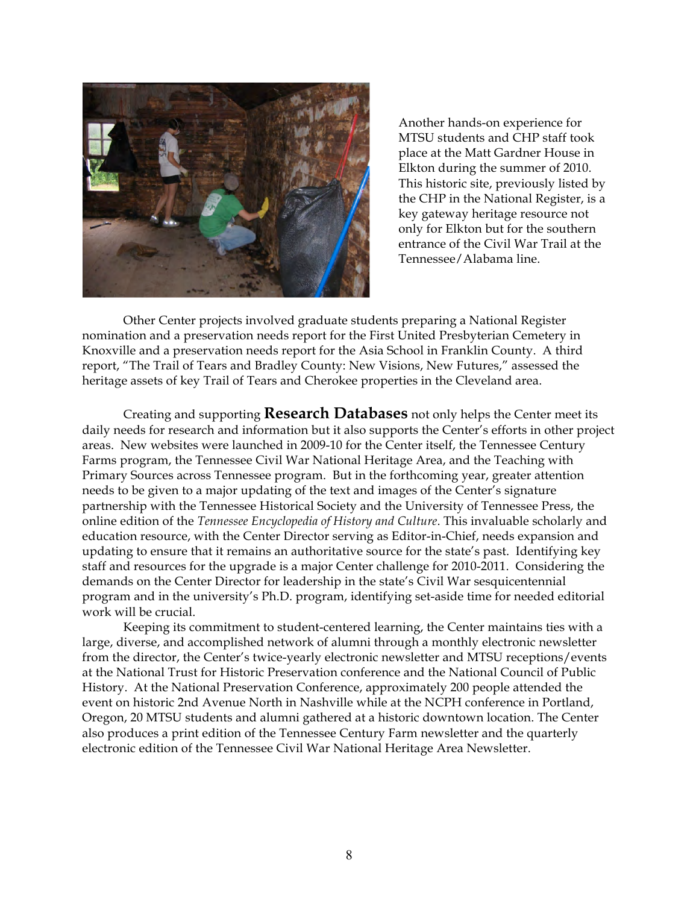

Another hands-on experience for MTSU students and CHP staff took place at the Matt Gardner House in Elkton during the summer of 2010. This historic site, previously listed by the CHP in the National Register, is a key gateway heritage resource not only for Elkton but for the southern entrance of the Civil War Trail at the Tennessee/Alabama line.

Other Center projects involved graduate students preparing a National Register nomination and a preservation needs report for the First United Presbyterian Cemetery in Knoxville and a preservation needs report for the Asia School in Franklin County. A third report, "The Trail of Tears and Bradley County: New Visions, New Futures," assessed the heritage assets of key Trail of Tears and Cherokee properties in the Cleveland area.

Creating and supporting **Research Databases** not only helps the Center meet its daily needs for research and information but it also supports the Center's efforts in other project areas. New websites were launched in 2009-10 for the Center itself, the Tennessee Century Farms program, the Tennessee Civil War National Heritage Area, and the Teaching with Primary Sources across Tennessee program. But in the forthcoming year, greater attention needs to be given to a major updating of the text and images of the Center's signature partnership with the Tennessee Historical Society and the University of Tennessee Press, the online edition of the *Tennessee Encyclopedia of History and Culture*. This invaluable scholarly and education resource, with the Center Director serving as Editor-in-Chief, needs expansion and updating to ensure that it remains an authoritative source for the state's past. Identifying key staff and resources for the upgrade is a major Center challenge for 2010-2011. Considering the demands on the Center Director for leadership in the state's Civil War sesquicentennial program and in the university's Ph.D. program, identifying set-aside time for needed editorial work will be crucial.

Keeping its commitment to student-centered learning, the Center maintains ties with a large, diverse, and accomplished network of alumni through a monthly electronic newsletter from the director, the Center's twice-yearly electronic newsletter and MTSU receptions/events at the National Trust for Historic Preservation conference and the National Council of Public History. At the National Preservation Conference, approximately 200 people attended the event on historic 2nd Avenue North in Nashville while at the NCPH conference in Portland, Oregon, 20 MTSU students and alumni gathered at a historic downtown location. The Center also produces a print edition of the Tennessee Century Farm newsletter and the quarterly electronic edition of the Tennessee Civil War National Heritage Area Newsletter.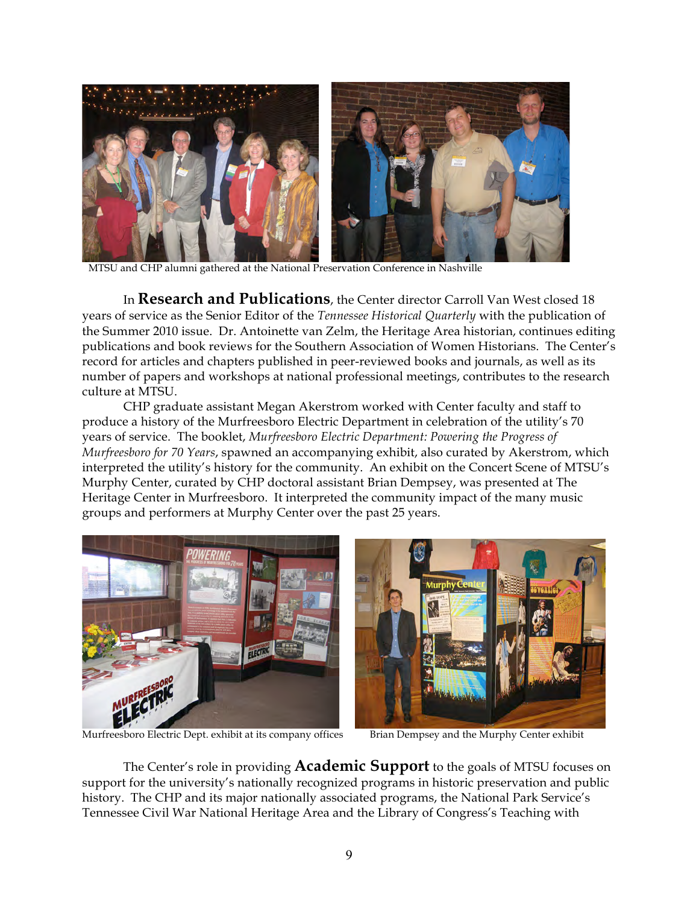

MTSU and CHP alumni gathered at the National Preservation Conference in Nashville

In **Research and Publications**, the Center director Carroll Van West closed 18 years of service as the Senior Editor of the *Tennessee Historical Quarterly* with the publication of the Summer 2010 issue. Dr. Antoinette van Zelm, the Heritage Area historian, continues editing publications and book reviews for the Southern Association of Women Historians. The Center's record for articles and chapters published in peer-reviewed books and journals, as well as its number of papers and workshops at national professional meetings, contributes to the research culture at MTSU.

CHP graduate assistant Megan Akerstrom worked with Center faculty and staff to produce a history of the Murfreesboro Electric Department in celebration of the utility's 70 years of service. The booklet, *Murfreesboro Electric Department: Powering the Progress of Murfreesboro for 70 Years*, spawned an accompanying exhibit, also curated by Akerstrom, which interpreted the utility's history for the community. An exhibit on the Concert Scene of MTSU's Murphy Center, curated by CHP doctoral assistant Brian Dempsey, was presented at The Heritage Center in Murfreesboro. It interpreted the community impact of the many music groups and performers at Murphy Center over the past 25 years.



Murfreesboro Electric Dept. exhibit at its company offices Brian Dempsey and the Murphy Center exhibit

The Center's role in providing **Academic Support** to the goals of MTSU focuses on support for the university's nationally recognized programs in historic preservation and public history. The CHP and its major nationally associated programs, the National Park Service's Tennessee Civil War National Heritage Area and the Library of Congress's Teaching with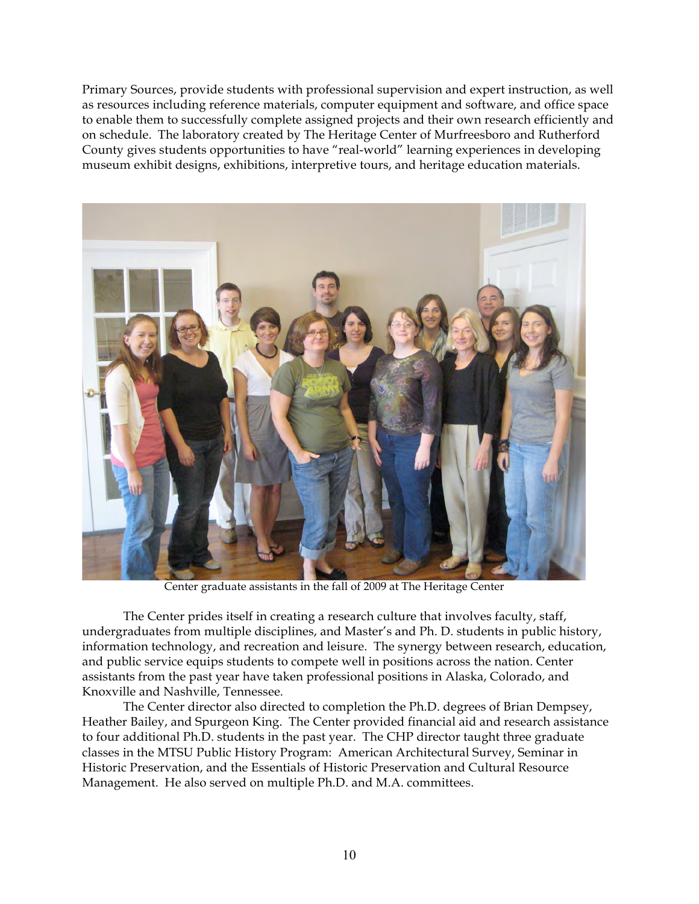Primary Sources, provide students with professional supervision and expert instruction, as well as resources including reference materials, computer equipment and software, and office space to enable them to successfully complete assigned projects and their own research efficiently and on schedule. The laboratory created by The Heritage Center of Murfreesboro and Rutherford County gives students opportunities to have "real-world" learning experiences in developing museum exhibit designs, exhibitions, interpretive tours, and heritage education materials.



Center graduate assistants in the fall of 2009 at The Heritage Center

The Center prides itself in creating a research culture that involves faculty, staff, undergraduates from multiple disciplines, and Master's and Ph. D. students in public history, information technology, and recreation and leisure. The synergy between research, education, and public service equips students to compete well in positions across the nation. Center assistants from the past year have taken professional positions in Alaska, Colorado, and Knoxville and Nashville, Tennessee.

The Center director also directed to completion the Ph.D. degrees of Brian Dempsey, Heather Bailey, and Spurgeon King. The Center provided financial aid and research assistance to four additional Ph.D. students in the past year. The CHP director taught three graduate classes in the MTSU Public History Program: American Architectural Survey, Seminar in Historic Preservation, and the Essentials of Historic Preservation and Cultural Resource Management. He also served on multiple Ph.D. and M.A. committees.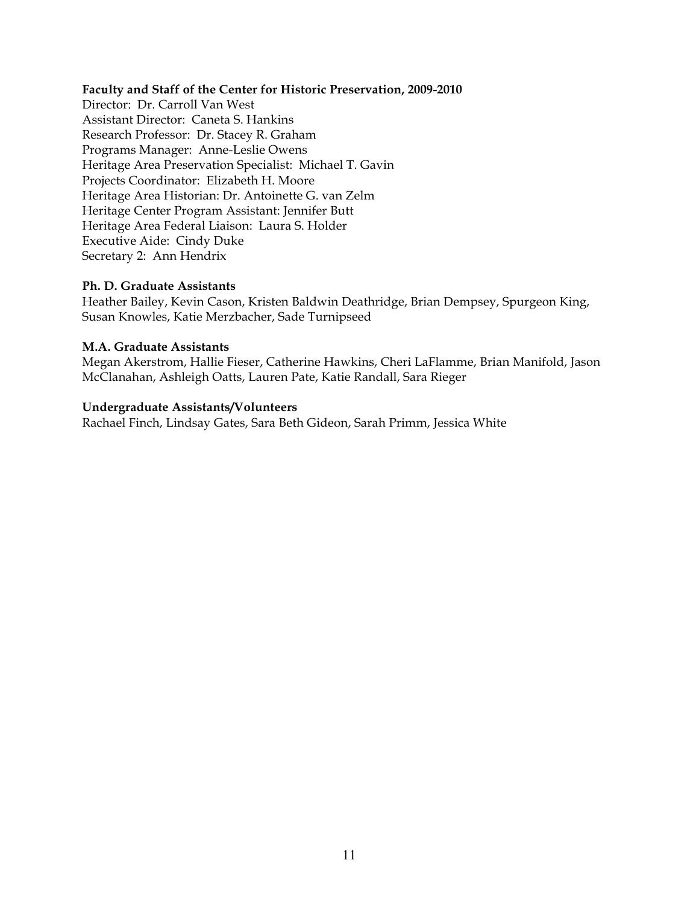#### **Faculty and Staff of the Center for Historic Preservation, 2009-2010**

Director: Dr. Carroll Van West Assistant Director: Caneta S. Hankins Research Professor: Dr. Stacey R. Graham Programs Manager: Anne-Leslie Owens Heritage Area Preservation Specialist: Michael T. Gavin Projects Coordinator: Elizabeth H. Moore Heritage Area Historian: Dr. Antoinette G. van Zelm Heritage Center Program Assistant: Jennifer Butt Heritage Area Federal Liaison: Laura S. Holder Executive Aide: Cindy Duke Secretary 2: Ann Hendrix

#### **Ph. D. Graduate Assistants**

Heather Bailey, Kevin Cason, Kristen Baldwin Deathridge, Brian Dempsey, Spurgeon King, Susan Knowles, Katie Merzbacher, Sade Turnipseed

#### **M.A. Graduate Assistants**

Megan Akerstrom, Hallie Fieser, Catherine Hawkins, Cheri LaFlamme, Brian Manifold, Jason McClanahan, Ashleigh Oatts, Lauren Pate, Katie Randall, Sara Rieger

#### **Undergraduate Assistants/Volunteers**

Rachael Finch, Lindsay Gates, Sara Beth Gideon, Sarah Primm, Jessica White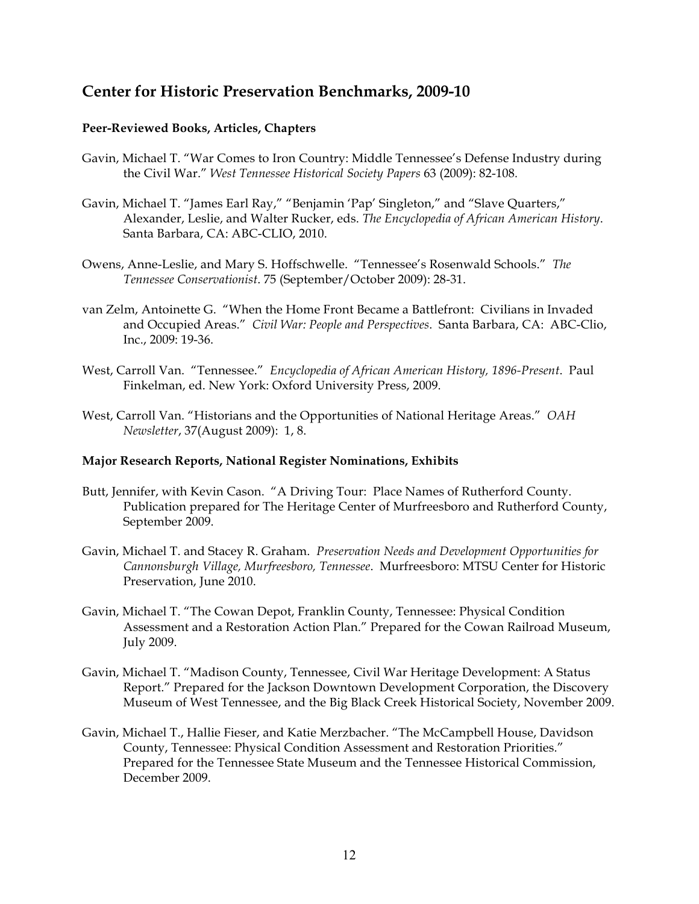# **Center for Historic Preservation Benchmarks, 2009-10**

# **Peer-Reviewed Books, Articles, Chapters**

- Gavin, Michael T. "War Comes to Iron Country: Middle Tennessee's Defense Industry during the Civil War." *West Tennessee Historical Society Papers* 63 (2009): 82-108*.*
- Gavin, Michael T. "James Earl Ray," "Benjamin 'Pap' Singleton," and "Slave Quarters," Alexander, Leslie, and Walter Rucker, eds. *The Encyclopedia of African American History*. Santa Barbara, CA: ABC-CLIO, 2010.
- Owens, Anne-Leslie, and Mary S. Hoffschwelle. "Tennessee's Rosenwald Schools." *The Tennessee Conservationist*. 75 (September/October 2009): 28-31.
- van Zelm, Antoinette G. "When the Home Front Became a Battlefront: Civilians in Invaded and Occupied Areas." *Civil War: People and Perspectives*. Santa Barbara, CA: ABC-Clio, Inc., 2009: 19-36.
- West, Carroll Van. "Tennessee." *Encyclopedia of African American History, 1896-Present*. Paul Finkelman, ed. New York: Oxford University Press, 2009.
- West, Carroll Van. "Historians and the Opportunities of National Heritage Areas." *OAH Newsletter*, 37(August 2009): 1, 8.

# **Major Research Reports, National Register Nominations, Exhibits**

- Butt, Jennifer, with Kevin Cason. "A Driving Tour: Place Names of Rutherford County. Publication prepared for The Heritage Center of Murfreesboro and Rutherford County, September 2009.
- Gavin, Michael T. and Stacey R. Graham. *Preservation Needs and Development Opportunities for Cannonsburgh Village, Murfreesboro, Tennessee*. Murfreesboro: MTSU Center for Historic Preservation, June 2010.
- Gavin, Michael T. "The Cowan Depot, Franklin County, Tennessee: Physical Condition Assessment and a Restoration Action Plan." Prepared for the Cowan Railroad Museum, July 2009.
- Gavin, Michael T. "Madison County, Tennessee, Civil War Heritage Development: A Status Report." Prepared for the Jackson Downtown Development Corporation, the Discovery Museum of West Tennessee, and the Big Black Creek Historical Society, November 2009.
- Gavin, Michael T., Hallie Fieser, and Katie Merzbacher. "The McCampbell House, Davidson County, Tennessee: Physical Condition Assessment and Restoration Priorities." Prepared for the Tennessee State Museum and the Tennessee Historical Commission, December 2009.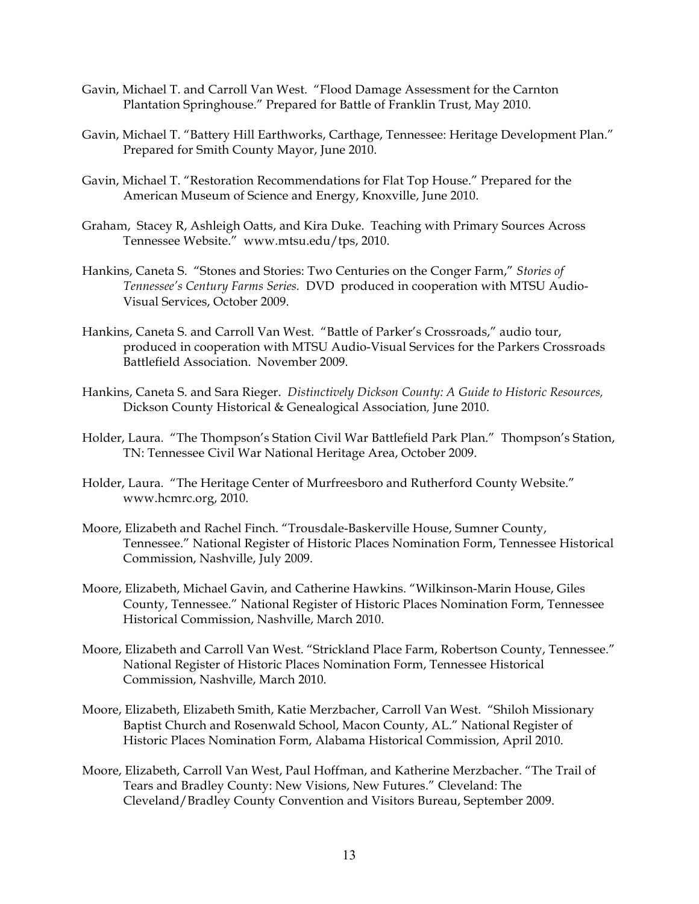- Gavin, Michael T. and Carroll Van West. "Flood Damage Assessment for the Carnton Plantation Springhouse." Prepared for Battle of Franklin Trust, May 2010.
- Gavin, Michael T. "Battery Hill Earthworks, Carthage, Tennessee: Heritage Development Plan." Prepared for Smith County Mayor, June 2010.
- Gavin, Michael T. "Restoration Recommendations for Flat Top House." Prepared for the American Museum of Science and Energy, Knoxville, June 2010.
- Graham, Stacey R, Ashleigh Oatts, and Kira Duke. Teaching with Primary Sources Across Tennessee Website." www.mtsu.edu/tps, 2010.
- Hankins, Caneta S. "Stones and Stories: Two Centuries on the Conger Farm," *Stories of Tennessee's Century Farms Series.* DVD produced in cooperation with MTSU Audio-Visual Services, October 2009.
- Hankins, Caneta S. and Carroll Van West. "Battle of Parker's Crossroads," audio tour, produced in cooperation with MTSU Audio-Visual Services for the Parkers Crossroads Battlefield Association. November 2009.
- Hankins, Caneta S. and Sara Rieger. *Distinctively Dickson County: A Guide to Historic Resources,*  Dickson County Historical & Genealogical Association*,* June 2010.
- Holder, Laura. "The Thompson's Station Civil War Battlefield Park Plan." Thompson's Station, TN: Tennessee Civil War National Heritage Area, October 2009.
- Holder, Laura. "The Heritage Center of Murfreesboro and Rutherford County Website." www.hcmrc.org, 2010.
- Moore, Elizabeth and Rachel Finch. "Trousdale-Baskerville House, Sumner County, Tennessee." National Register of Historic Places Nomination Form, Tennessee Historical Commission, Nashville, July 2009.
- Moore, Elizabeth, Michael Gavin, and Catherine Hawkins. "Wilkinson-Marin House, Giles County, Tennessee." National Register of Historic Places Nomination Form, Tennessee Historical Commission, Nashville, March 2010.
- Moore, Elizabeth and Carroll Van West. "Strickland Place Farm, Robertson County, Tennessee." National Register of Historic Places Nomination Form, Tennessee Historical Commission, Nashville, March 2010.
- Moore, Elizabeth, Elizabeth Smith, Katie Merzbacher, Carroll Van West. "Shiloh Missionary Baptist Church and Rosenwald School, Macon County, AL." National Register of Historic Places Nomination Form, Alabama Historical Commission, April 2010.
- Moore, Elizabeth, Carroll Van West, Paul Hoffman, and Katherine Merzbacher. "The Trail of Tears and Bradley County: New Visions, New Futures." Cleveland: The Cleveland/Bradley County Convention and Visitors Bureau, September 2009.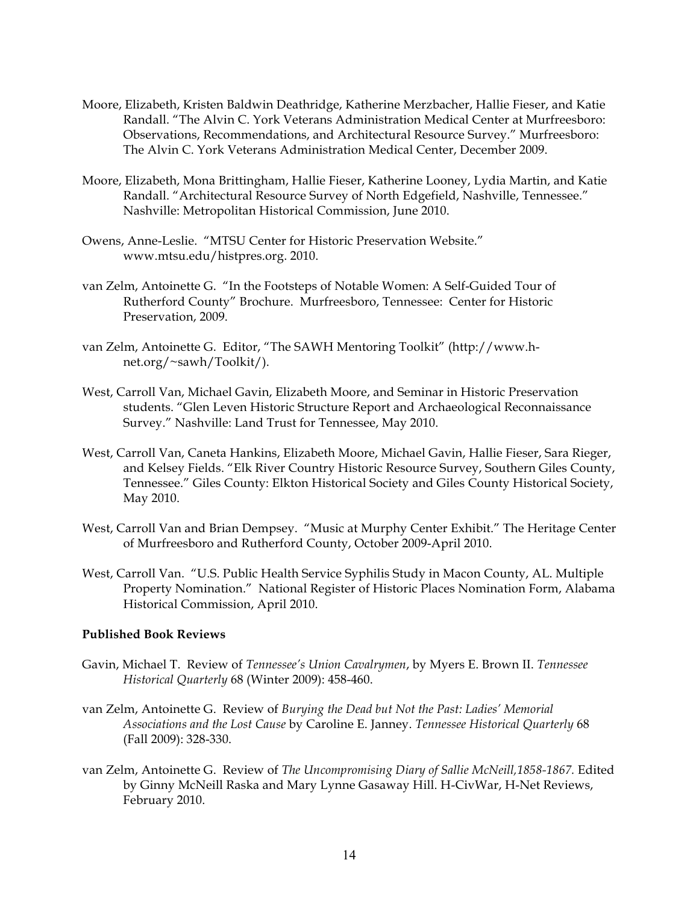- Moore, Elizabeth, Kristen Baldwin Deathridge, Katherine Merzbacher, Hallie Fieser, and Katie Randall. "The Alvin C. York Veterans Administration Medical Center at Murfreesboro: Observations, Recommendations, and Architectural Resource Survey." Murfreesboro: The Alvin C. York Veterans Administration Medical Center, December 2009.
- Moore, Elizabeth, Mona Brittingham, Hallie Fieser, Katherine Looney, Lydia Martin, and Katie Randall. "Architectural Resource Survey of North Edgefield, Nashville, Tennessee." Nashville: Metropolitan Historical Commission, June 2010.
- Owens, Anne-Leslie. "MTSU Center for Historic Preservation Website." www.mtsu.edu/histpres.org. 2010.
- van Zelm, Antoinette G. "In the Footsteps of Notable Women: A Self-Guided Tour of Rutherford County" Brochure. Murfreesboro, Tennessee: Center for Historic Preservation, 2009.
- van Zelm, Antoinette G. Editor, "The SAWH Mentoring Toolkit" (http://www.hnet.org/~sawh/Toolkit/).
- West, Carroll Van, Michael Gavin, Elizabeth Moore, and Seminar in Historic Preservation students. "Glen Leven Historic Structure Report and Archaeological Reconnaissance Survey." Nashville: Land Trust for Tennessee, May 2010.
- West, Carroll Van, Caneta Hankins, Elizabeth Moore, Michael Gavin, Hallie Fieser, Sara Rieger, and Kelsey Fields. "Elk River Country Historic Resource Survey, Southern Giles County, Tennessee." Giles County: Elkton Historical Society and Giles County Historical Society, May 2010.
- West, Carroll Van and Brian Dempsey. "Music at Murphy Center Exhibit." The Heritage Center of Murfreesboro and Rutherford County, October 2009-April 2010.
- West, Carroll Van. "U.S. Public Health Service Syphilis Study in Macon County, AL. Multiple Property Nomination." National Register of Historic Places Nomination Form, Alabama Historical Commission, April 2010.

# **Published Book Reviews**

- Gavin, Michael T. Review of *Tennessee's Union Cavalrymen*, by Myers E. Brown II. *Tennessee Historical Quarterly* 68 (Winter 2009): 458-460.
- van Zelm, Antoinette G. Review of *Burying the Dead but Not the Past: Ladies' Memorial Associations and the Lost Cause* by Caroline E. Janney. *Tennessee Historical Quarterly* 68 (Fall 2009): 328-330.
- van Zelm, Antoinette G. Review of *The Uncompromising Diary of Sallie McNeill,1858-1867.* Edited by Ginny McNeill Raska and Mary Lynne Gasaway Hill. H-CivWar, H-Net Reviews, February 2010.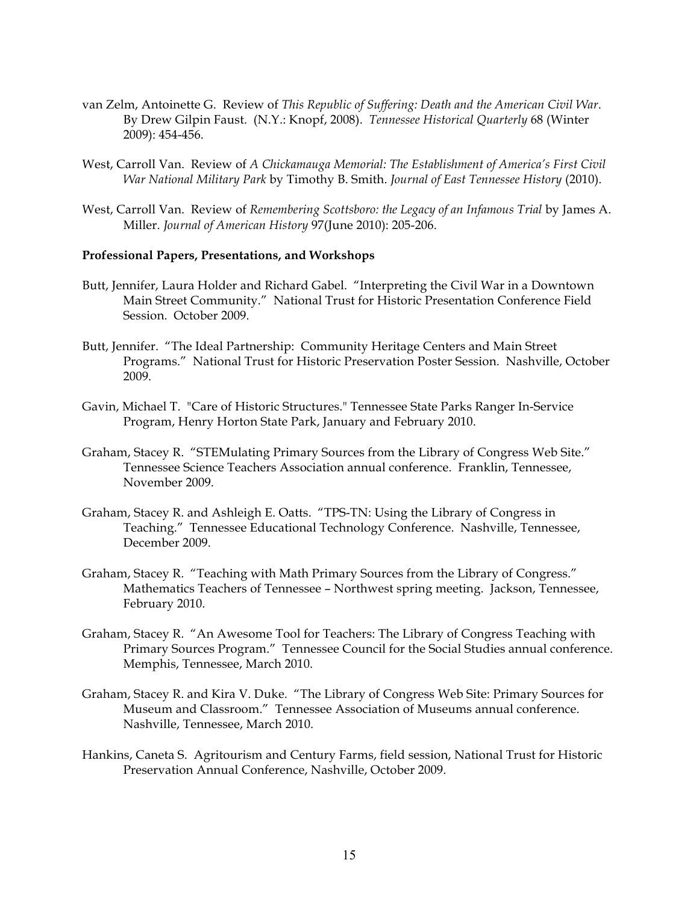- van Zelm, Antoinette G. Review of *This Republic of Suffering: Death and the American Civil War*. By Drew Gilpin Faust. (N.Y.: Knopf, 2008). *Tennessee Historical Quarterly* 68 (Winter 2009): 454-456.
- West, Carroll Van. Review of *A Chickamauga Memorial: The Establishment of America's First Civil War National Military Park* by Timothy B. Smith. *Journal of East Tennessee History* (2010).
- West, Carroll Van. Review of *Remembering Scottsboro: the Legacy of an Infamous Trial* by James A. Miller. *Journal of American History* 97(June 2010): 205-206.

#### **Professional Papers, Presentations, and Workshops**

- Butt, Jennifer, Laura Holder and Richard Gabel. "Interpreting the Civil War in a Downtown Main Street Community." National Trust for Historic Presentation Conference Field Session. October 2009.
- Butt, Jennifer. "The Ideal Partnership: Community Heritage Centers and Main Street Programs." National Trust for Historic Preservation Poster Session. Nashville, October 2009.
- Gavin, Michael T. "Care of Historic Structures." Tennessee State Parks Ranger In-Service Program, Henry Horton State Park, January and February 2010.
- Graham, Stacey R. "STEMulating Primary Sources from the Library of Congress Web Site." Tennessee Science Teachers Association annual conference. Franklin, Tennessee, November 2009.
- Graham, Stacey R. and Ashleigh E. Oatts. "TPS-TN: Using the Library of Congress in Teaching." Tennessee Educational Technology Conference. Nashville, Tennessee, December 2009.
- Graham, Stacey R. "Teaching with Math Primary Sources from the Library of Congress." Mathematics Teachers of Tennessee – Northwest spring meeting. Jackson, Tennessee, February 2010.
- Graham, Stacey R. "An Awesome Tool for Teachers: The Library of Congress Teaching with Primary Sources Program." Tennessee Council for the Social Studies annual conference. Memphis, Tennessee, March 2010.
- Graham, Stacey R. and Kira V. Duke. "The Library of Congress Web Site: Primary Sources for Museum and Classroom." Tennessee Association of Museums annual conference. Nashville, Tennessee, March 2010.
- Hankins, Caneta S. Agritourism and Century Farms, field session, National Trust for Historic Preservation Annual Conference, Nashville, October 2009.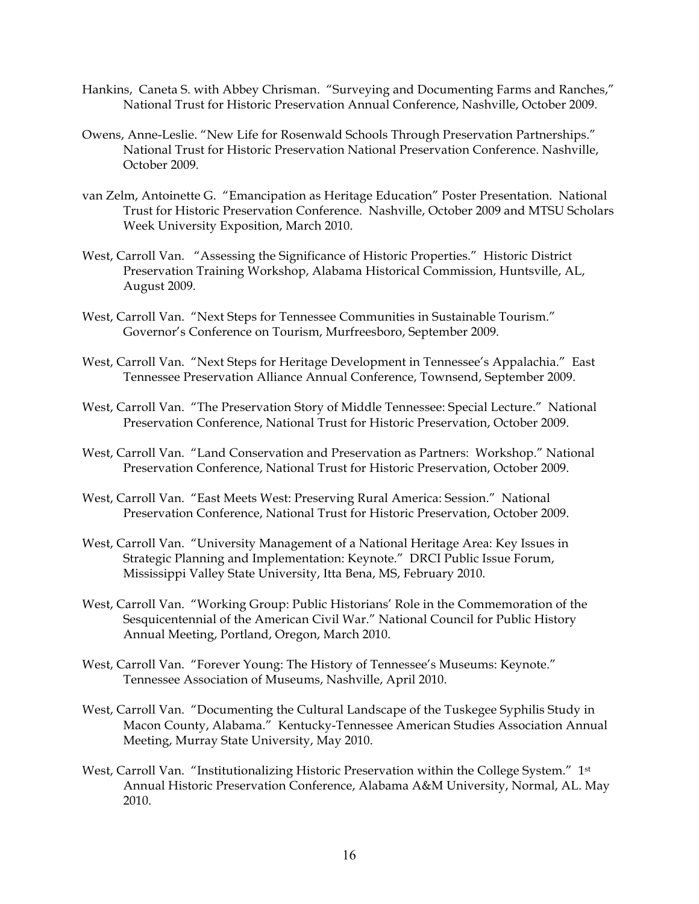- Hankins, Caneta S. with Abbey Chrisman. "Surveying and Documenting Farms and Ranches," National Trust for Historic Preservation Annual Conference, Nashville, October 2009.
- Owens, Anne-Leslie. "New Life for Rosenwald Schools Through Preservation Partnerships." National Trust for Historic Preservation National Preservation Conference. Nashville, October 2009.
- van Zelm, Antoinette G. "Emancipation as Heritage Education" Poster Presentation. National Trust for Historic Preservation Conference. Nashville, October 2009 and MTSU Scholars Week University Exposition, March 2010.
- West, Carroll Van. "Assessing the Significance of Historic Properties." Historic District Preservation Training Workshop, Alabama Historical Commission, Huntsville, AL, August 2009.
- West, Carroll Van. "Next Steps for Tennessee Communities in Sustainable Tourism." Governor's Conference on Tourism, Murfreesboro, September 2009.
- West, Carroll Van. "Next Steps for Heritage Development in Tennessee's Appalachia." East Tennessee Preservation Alliance Annual Conference, Townsend, September 2009.
- West, Carroll Van. "The Preservation Story of Middle Tennessee: Special Lecture." National Preservation Conference, National Trust for Historic Preservation, October 2009.
- West, Carroll Van. "Land Conservation and Preservation as Partners: Workshop." National Preservation Conference, National Trust for Historic Preservation, October 2009.
- West, Carroll Van. "East Meets West: Preserving Rural America: Session." National Preservation Conference, National Trust for Historic Preservation, October 2009.
- West, Carroll Van. "University Management of a National Heritage Area: Key Issues in Strategic Planning and Implementation: Keynote." DRCI Public Issue Forum, Mississippi Valley State University, Itta Bena, MS, February 2010.
- West, Carroll Van. "Working Group: Public Historians' Role in the Commemoration of the Sesquicentennial of the American Civil War." National Council for Public History Annual Meeting, Portland, Oregon, March 2010.
- West, Carroll Van. "Forever Young: The History of Tennessee's Museums: Keynote." Tennessee Association of Museums, Nashville, April 2010.
- West, Carroll Van. "Documenting the Cultural Landscape of the Tuskegee Syphilis Study in Macon County, Alabama." Kentucky-Tennessee American Studies Association Annual Meeting, Murray State University, May 2010.
- West, Carroll Van. "Institutionalizing Historic Preservation within the College System." 1<sup>st</sup> Annual Historic Preservation Conference, Alabama A&M University, Normal, AL. May 2010.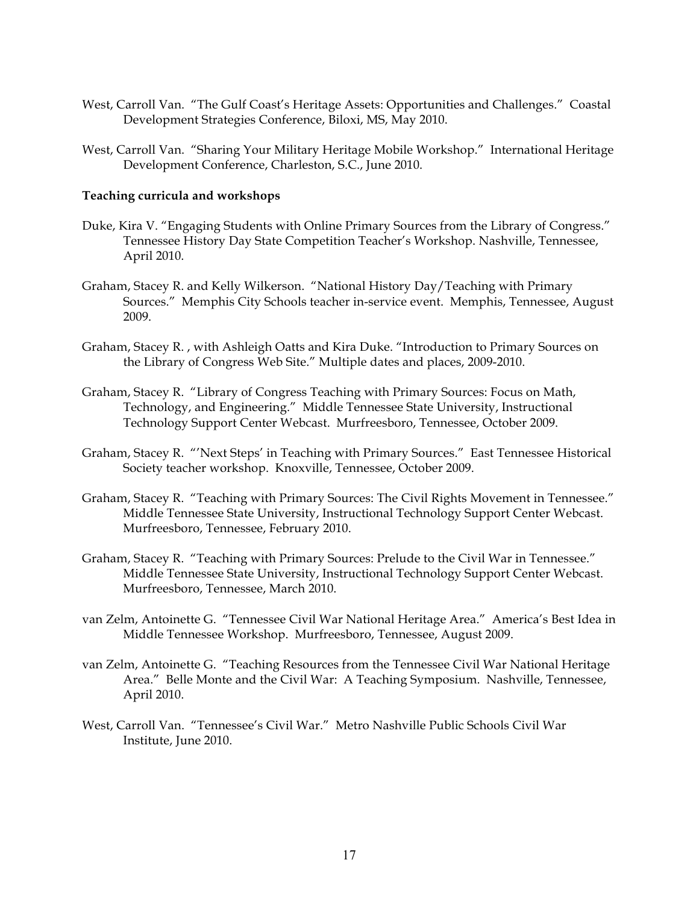- West, Carroll Van. "The Gulf Coast's Heritage Assets: Opportunities and Challenges." Coastal Development Strategies Conference, Biloxi, MS, May 2010.
- West, Carroll Van. "Sharing Your Military Heritage Mobile Workshop." International Heritage Development Conference, Charleston, S.C., June 2010.

# **Teaching curricula and workshops**

- Duke, Kira V. "Engaging Students with Online Primary Sources from the Library of Congress." Tennessee History Day State Competition Teacher's Workshop. Nashville, Tennessee, April 2010.
- Graham, Stacey R. and Kelly Wilkerson. "National History Day/Teaching with Primary Sources." Memphis City Schools teacher in-service event. Memphis, Tennessee, August 2009.
- Graham, Stacey R. , with Ashleigh Oatts and Kira Duke. "Introduction to Primary Sources on the Library of Congress Web Site." Multiple dates and places, 2009-2010.
- Graham, Stacey R. "Library of Congress Teaching with Primary Sources: Focus on Math, Technology, and Engineering." Middle Tennessee State University, Instructional Technology Support Center Webcast. Murfreesboro, Tennessee, October 2009.
- Graham, Stacey R. "'Next Steps' in Teaching with Primary Sources." East Tennessee Historical Society teacher workshop. Knoxville, Tennessee, October 2009.
- Graham, Stacey R. "Teaching with Primary Sources: The Civil Rights Movement in Tennessee." Middle Tennessee State University, Instructional Technology Support Center Webcast. Murfreesboro, Tennessee, February 2010.
- Graham, Stacey R. "Teaching with Primary Sources: Prelude to the Civil War in Tennessee." Middle Tennessee State University, Instructional Technology Support Center Webcast. Murfreesboro, Tennessee, March 2010.
- van Zelm, Antoinette G. "Tennessee Civil War National Heritage Area." America's Best Idea in Middle Tennessee Workshop. Murfreesboro, Tennessee, August 2009.
- van Zelm, Antoinette G. "Teaching Resources from the Tennessee Civil War National Heritage Area." Belle Monte and the Civil War: A Teaching Symposium. Nashville, Tennessee, April 2010.
- West, Carroll Van. "Tennessee's Civil War." Metro Nashville Public Schools Civil War Institute, June 2010.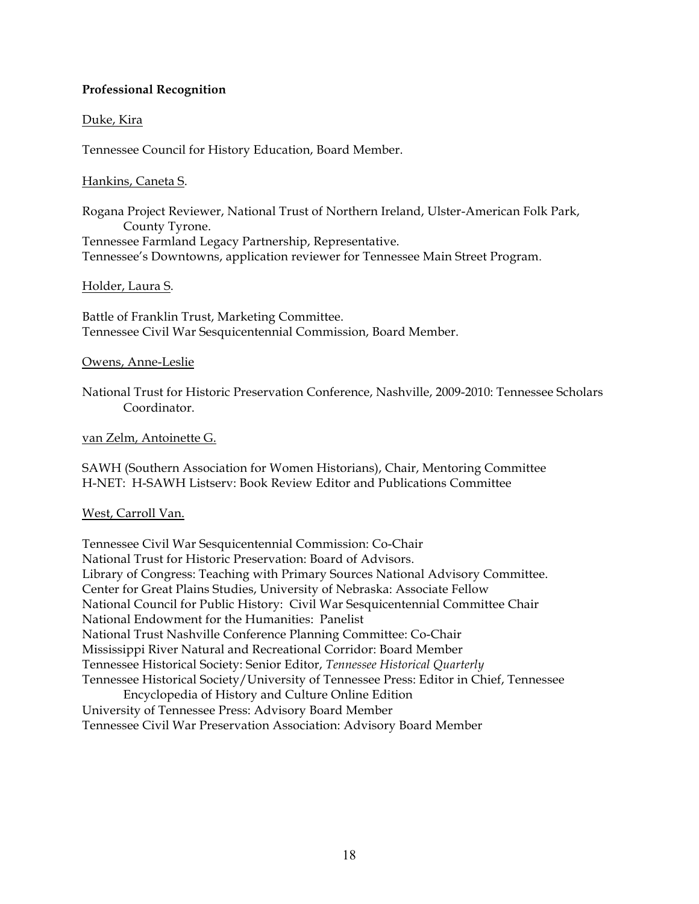# **Professional Recognition**

# Duke, Kira

Tennessee Council for History Education, Board Member.

# Hankins, Caneta S.

Rogana Project Reviewer, National Trust of Northern Ireland, Ulster-American Folk Park, County Tyrone. Tennessee Farmland Legacy Partnership, Representative. Tennessee's Downtowns, application reviewer for Tennessee Main Street Program.

# Holder, Laura S.

Battle of Franklin Trust, Marketing Committee. Tennessee Civil War Sesquicentennial Commission, Board Member.

# Owens, Anne-Leslie

National Trust for Historic Preservation Conference, Nashville, 2009-2010: Tennessee Scholars Coordinator.

# van Zelm, Antoinette G.

SAWH (Southern Association for Women Historians), Chair, Mentoring Committee H-NET: H-SAWH Listserv: Book Review Editor and Publications Committee

# West, Carroll Van.

Tennessee Civil War Sesquicentennial Commission: Co-Chair National Trust for Historic Preservation: Board of Advisors. Library of Congress: Teaching with Primary Sources National Advisory Committee. Center for Great Plains Studies, University of Nebraska: Associate Fellow National Council for Public History: Civil War Sesquicentennial Committee Chair National Endowment for the Humanities: Panelist National Trust Nashville Conference Planning Committee: Co-Chair Mississippi River Natural and Recreational Corridor: Board Member Tennessee Historical Society: Senior Editor, *Tennessee Historical Quarterly* Tennessee Historical Society/University of Tennessee Press: Editor in Chief, Tennessee Encyclopedia of History and Culture Online Edition University of Tennessee Press: Advisory Board Member Tennessee Civil War Preservation Association: Advisory Board Member